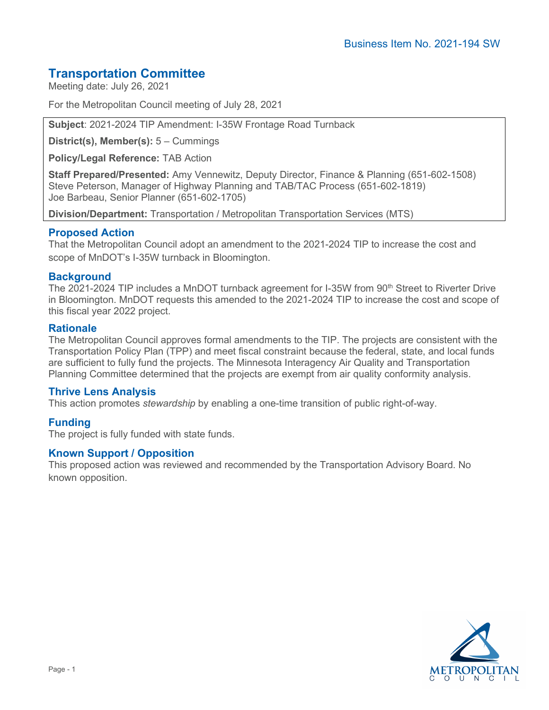# **Transportation Committee**

Meeting date: July 26, 2021

For the Metropolitan Council meeting of July 28, 2021

**Subject**: 2021-2024 TIP Amendment: I-35W Frontage Road Turnback

**District(s), Member(s):** 5 – Cummings

**Policy/Legal Reference:** TAB Action

**Staff Prepared/Presented:** Amy Vennewitz, Deputy Director, Finance & Planning (651-602-1508) Steve Peterson, Manager of Highway Planning and TAB/TAC Process (651-602-1819) Joe Barbeau, Senior Planner (651-602-1705)

**Division/Department:** Transportation / Metropolitan Transportation Services (MTS)

## **Proposed Action**

That the Metropolitan Council adopt an amendment to the 2021-2024 TIP to increase the cost and scope of MnDOT's I-35W turnback in Bloomington.

## **Background**

The 2021-2024 TIP includes a MnDOT turnback agreement for I-35W from 90<sup>th</sup> Street to Riverter Drive in Bloomington. MnDOT requests this amended to the 2021-2024 TIP to increase the cost and scope of this fiscal year 2022 project.

#### **Rationale**

The Metropolitan Council approves formal amendments to the TIP. The projects are consistent with the Transportation Policy Plan (TPP) and meet fiscal constraint because the federal, state, and local funds are sufficient to fully fund the projects. The Minnesota Interagency Air Quality and Transportation Planning Committee determined that the projects are exempt from air quality conformity analysis.

#### **Thrive Lens Analysis**

This action promotes *stewardship* by enabling a one-time transition of public right-of-way.

# **Funding**

The project is fully funded with state funds.

#### **Known Support / Opposition**

This proposed action was reviewed and recommended by the Transportation Advisory Board. No known opposition.